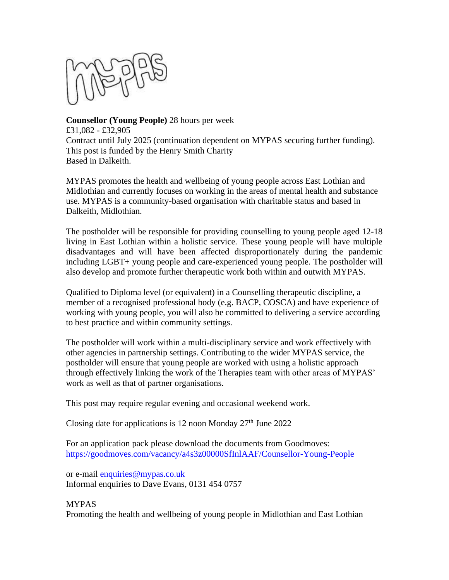

**Counsellor (Young People)** 28 hours per week £31,082 - £32,905 Contract until July 2025 (continuation dependent on MYPAS securing further funding). This post is funded by the Henry Smith Charity Based in Dalkeith.

MYPAS promotes the health and wellbeing of young people across East Lothian and Midlothian and currently focuses on working in the areas of mental health and substance use. MYPAS is a community-based organisation with charitable status and based in Dalkeith, Midlothian.

The postholder will be responsible for providing counselling to young people aged 12-18 living in East Lothian within a holistic service. These young people will have multiple disadvantages and will have been affected disproportionately during the pandemic including LGBT+ young people and care-experienced young people. The postholder will also develop and promote further therapeutic work both within and outwith MYPAS.

Qualified to Diploma level (or equivalent) in a Counselling therapeutic discipline, a member of a recognised professional body (e.g. BACP, COSCA) and have experience of working with young people, you will also be committed to delivering a service according to best practice and within community settings.

The postholder will work within a multi-disciplinary service and work effectively with other agencies in partnership settings. Contributing to the wider MYPAS service, the postholder will ensure that young people are worked with using a holistic approach through effectively linking the work of the Therapies team with other areas of MYPAS' work as well as that of partner organisations.

This post may require regular evening and occasional weekend work.

Closing date for applications is 12 noon Monday  $27<sup>th</sup>$  June 2022

For an application pack please download the documents from Goodmoves: <https://goodmoves.com/vacancy/a4s3z00000SfInlAAF/Counsellor-Young-People>

or e-mail [enquiries@mypas.co.uk](mailto:enquiries@mypas.co.uk) Informal enquiries to Dave Evans, 0131 454 0757

MYPAS Promoting the health and wellbeing of young people in Midlothian and East Lothian